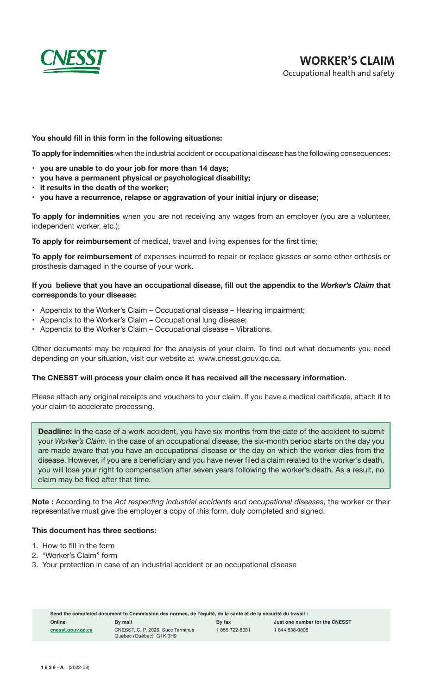

### **You should fill in this form in the following situations:**

**To apply for indemnities** when the industrial accident or occupational disease has the following consequences:

- • **you are unable to do your job for more than 14 days;**
- **• you have a permanent physical or psychological disability;**
- **• it results in the death of the worker;**
- **• you have a recurrence, relapse or aggravation of your initial injury or disease**;

**To apply for indemnities** when you are not receiving any wages from an employer (you are a volunteer, independent worker, etc.);

**To apply for reimbursement** of medical, travel and living expenses for the first time;

**To apply for reimbursement** of expenses incurred to repair or replace glasses or some other orthesis or prosthesis damaged in the course of your work.

### **If you believe that you have an occupational disease, fill out the appendix to the** *Worker's Claim* **that corresponds to your disease:**

- Appendix to the Worker's Claim Occupational disease Hearing impairment;
- Appendix to the Worker's Claim Occupational lung disease;
- • Appendix to the Worker's Claim Occupational disease Vibrations.

Other documents may be required for the analysis of your claim. To find out what documents you need depending on your situation, visit our website at www.cnesst.gouv.gc.ca.

### **The CNESST will process your claim once it has received all the necessary information.**

Please attach any original receipts and vouchers to your claim. If you have a medical certificate, attach it to your claim to accelerate processing.

**Deadline:** In the case of a work accident, you have six months from the date of the accident to submit your *Worker's Claim*. In the case of an occupational disease, the six-month period starts on the day you are made aware that you have an occupational disease or the day on which the worker dies from the disease. However, if you are a beneficiary and you have never filed a claim related to the worker's death, you will lose your right to compensation after seven years following the worker's death. As a result, no claim may be filed after that time.

**Note :** According to the *Act respecting industrial accidents and occupational diseases*, the worker or their representative must give the employer a copy of this form, duly completed and signed.

### **This document has three sections:**

- 1. How to fill in the form
- 2. "Worker's Claim" form
- 3. Your protection in case of an industrial accident or an occupational disease

| Send the completed document to Commission des normes, de l'équité, de la santé et de la sécurité du travail : |                                                              |                |                                |  |  |  |
|---------------------------------------------------------------------------------------------------------------|--------------------------------------------------------------|----------------|--------------------------------|--|--|--|
| Online                                                                                                        | By mail                                                      | By fax         | Just one number for the CNESST |  |  |  |
| cnesst.gouv.gc.ca                                                                                             | CNESST, C. P. 2026. Succ Terminus<br>Québec (Québec) G1K 0H9 | 1 855 722-8081 | 1844838-0808                   |  |  |  |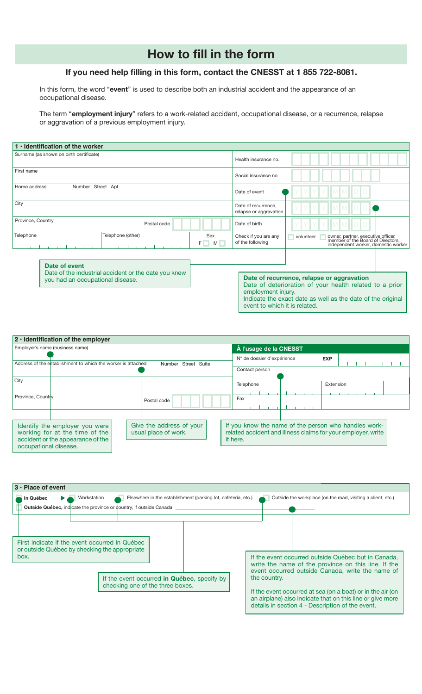# **How to fill in the form**

# **If you need help filling in this form, contact the CNESST at 1 855 722-8081.**

In this form, the word "**event**" is used to describe both an industrial accident and the appearance of an occupational disease.

The term "**employment injury**" refers to a work-related accident, occupational disease, or a recurrence, relapse or aggravation of a previous employment injury.

| $1 \cdot$ Identification of the worker                                                                    |                                                                                                                                                                                                                             |
|-----------------------------------------------------------------------------------------------------------|-----------------------------------------------------------------------------------------------------------------------------------------------------------------------------------------------------------------------------|
| Surname (as shown on birth certificate)                                                                   | Health insurance no.                                                                                                                                                                                                        |
| First name                                                                                                | Social insurance no.                                                                                                                                                                                                        |
| Home address<br>Number Street Apt.                                                                        | Date of event                                                                                                                                                                                                               |
| City                                                                                                      | Date of recurrence,<br>relapse or aggravation                                                                                                                                                                               |
| Province, Country<br>Postal code                                                                          | Date of birth                                                                                                                                                                                                               |
| Telephone<br>Telephone (other)<br>Sex<br>$F \Box$<br>$M \Box$                                             | owner, partner, executive officer,<br>member of the Board of Directors,<br>independent worker, domestic worker<br>Check if you are any<br>volunteer<br>of the following                                                     |
| Date of event<br>Date of the industrial accident or the date you knew<br>you had an occupational disease. | Date of recurrence, relapse or aggravation<br>Date of deterioration of your health related to a prior<br>employment injury.<br>Indicate the exact date as well as the date of the original<br>event to which it is related. |

| $2 \cdot$ Identification of the employer                                                                                       |                                                              |                                                  |                                                                                                                                  |  |            |  |  |  |  |  |
|--------------------------------------------------------------------------------------------------------------------------------|--------------------------------------------------------------|--------------------------------------------------|----------------------------------------------------------------------------------------------------------------------------------|--|------------|--|--|--|--|--|
| Employer's name (business name)                                                                                                |                                                              | À l'usage de la CNESST                           |                                                                                                                                  |  |            |  |  |  |  |  |
|                                                                                                                                | Address of the establishment to which the worker is attached | Number Street Suite                              | N° de dossier d'expérience                                                                                                       |  | <b>EXP</b> |  |  |  |  |  |
|                                                                                                                                |                                                              |                                                  | Contact person                                                                                                                   |  |            |  |  |  |  |  |
| City                                                                                                                           |                                                              |                                                  | Telephone                                                                                                                        |  | Extension  |  |  |  |  |  |
| Province, Country                                                                                                              |                                                              | Postal code                                      | Fax                                                                                                                              |  |            |  |  |  |  |  |
| Identify the employer you were<br>working for at the time of the<br>accident or the appearance of the<br>occupational disease. |                                                              | Give the address of your<br>usual place of work. | If you know the name of the person who handles work-<br>related accident and illness claims for your employer, write<br>it here. |  |            |  |  |  |  |  |

| $3 \cdot$ Place of event                                                                                |                                                                                                                                                                                                                                                                                                                                                                                                                                                  |
|---------------------------------------------------------------------------------------------------------|--------------------------------------------------------------------------------------------------------------------------------------------------------------------------------------------------------------------------------------------------------------------------------------------------------------------------------------------------------------------------------------------------------------------------------------------------|
| Workstation<br>In Québec                                                                                | Elsewhere in the establishment (parking lot, cafeteria, etc.)<br>Outside the workplace (on the road, visiting a client, etc.)                                                                                                                                                                                                                                                                                                                    |
| <b>Outside Québec, indicate the province or dountry, if outside Canada</b>                              |                                                                                                                                                                                                                                                                                                                                                                                                                                                  |
| First indicate if the event occurred in Québec<br>or outside Québec by checking the appropriate<br>box. | If the event occurred outside Québec but in Canada.<br>write the name of the province on this line. If the<br>event occurred outside Canada, write the name of<br>If the event occurred in Québec, specify by<br>the country.<br>checking one of the three boxes.<br>If the event occurred at sea (on a boat) or in the air (on<br>an airplane) also indicate that on this line or give more<br>details in section 4 - Description of the event. |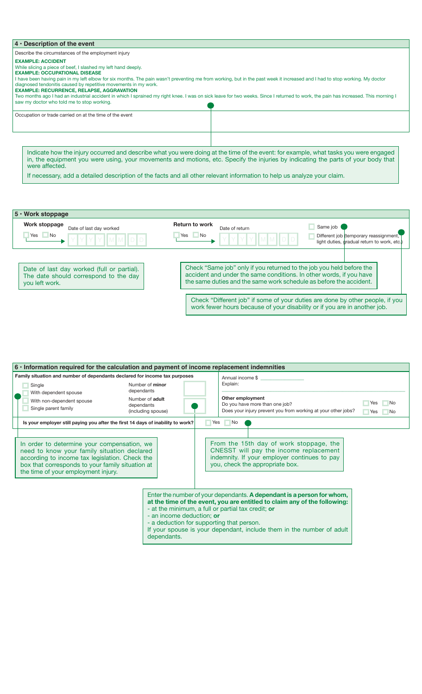| $4 \cdot$ Description of the event                                                                                                                                                                                                                                                                                                                                                                                                                                                                                                                                                                                                                                          |                                                                                                                                                                                                                                                                           |  |  |  |
|-----------------------------------------------------------------------------------------------------------------------------------------------------------------------------------------------------------------------------------------------------------------------------------------------------------------------------------------------------------------------------------------------------------------------------------------------------------------------------------------------------------------------------------------------------------------------------------------------------------------------------------------------------------------------------|---------------------------------------------------------------------------------------------------------------------------------------------------------------------------------------------------------------------------------------------------------------------------|--|--|--|
| Describe the circumstances of the employment injury                                                                                                                                                                                                                                                                                                                                                                                                                                                                                                                                                                                                                         |                                                                                                                                                                                                                                                                           |  |  |  |
| <b>EXAMPLE: ACCIDENT</b><br>While slicing a piece of beef, I slashed my left hand deeply.<br><b>EXAMPLE: OCCUPATIONAL DISEASE</b><br>I have been having pain in my left elbow for six months. The pain wasn't preventing me from working, but in the past week it increased and I had to stop working. My doctor<br>diagnosed tendonitis caused by repetitive movements in my work.<br><b>EXAMPLE: RECURRENCE, RELAPSE, AGGRAVATION</b><br>Two months ago I had an industrial accident in which I sprained my right knee. I was on sick leave for two weeks. Since I returned to work, the pain has increased. This morning I<br>saw my doctor who told me to stop working. |                                                                                                                                                                                                                                                                           |  |  |  |
| Occupation or trade carried on at the time of the event                                                                                                                                                                                                                                                                                                                                                                                                                                                                                                                                                                                                                     |                                                                                                                                                                                                                                                                           |  |  |  |
| were affected.                                                                                                                                                                                                                                                                                                                                                                                                                                                                                                                                                                                                                                                              | Indicate how the injury occurred and describe what you were doing at the time of the event: for example, what tasks you were engaged<br>in, the equipment you were using, your movements and motions, etc. Specify the injuries by indicating the parts of your body that |  |  |  |

If necessary, add a detailed description of the facts and all other relevant information to help us analyze your claim.

| 5 · Work stoppage                                                                                     |                                                                                                                                                                                                                   |
|-------------------------------------------------------------------------------------------------------|-------------------------------------------------------------------------------------------------------------------------------------------------------------------------------------------------------------------|
| Work stoppage<br>Date of last day worked<br>$\Box$ No<br>Yes                                          | <b>Return to work</b><br>Same job<br>Date of return<br><b>No</b><br>Yes<br>Different job (temporary reassignment,<br>light duties, gradual return to work, etc.)                                                  |
| Date of last day worked (full or partial).<br>The date should correspond to the day<br>you left work. | Check "Same job" only if you returned to the job you held before the<br>accident and under the same conditions. In other words, if you have<br>the same duties and the same work schedule as before the accident. |
|                                                                                                       | Check "Different job" if some of your duties are done by other people, if you<br>work fewer hours because of your disability or if you are in another job.                                                        |

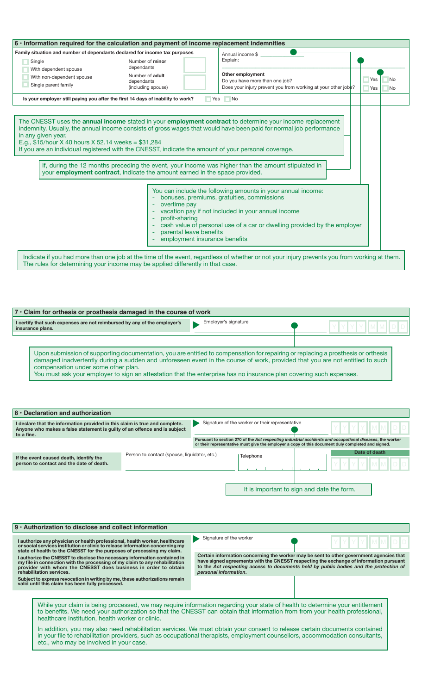| $6 \cdot$ Information required for the calculation and payment of income replacement indemnities                                                                                                                                                                                                                                                                                                                                                                                                                                                                            |  |  |  |  |  |  |
|-----------------------------------------------------------------------------------------------------------------------------------------------------------------------------------------------------------------------------------------------------------------------------------------------------------------------------------------------------------------------------------------------------------------------------------------------------------------------------------------------------------------------------------------------------------------------------|--|--|--|--|--|--|
| Annual income \$                                                                                                                                                                                                                                                                                                                                                                                                                                                                                                                                                            |  |  |  |  |  |  |
| Explain:                                                                                                                                                                                                                                                                                                                                                                                                                                                                                                                                                                    |  |  |  |  |  |  |
| Other employment<br>No<br>Yes<br>Do you have more than one job?<br>Does your injury prevent you from working at your other jobs?<br>Yes<br><b>No</b>                                                                                                                                                                                                                                                                                                                                                                                                                        |  |  |  |  |  |  |
| $\blacksquare$ No                                                                                                                                                                                                                                                                                                                                                                                                                                                                                                                                                           |  |  |  |  |  |  |
| The CNESST uses the annual income stated in your employment contract to determine your income replacement<br>indemnity. Usually, the annual income consists of gross wages that would have been paid for normal job performance<br>If you are an individual registered with the CNESST, indicate the amount of your personal coverage.<br>If, during the 12 months preceding the event, your income was higher than the amount stipulated in<br>your employment contract, indicate the amount earned in the space provided.                                                 |  |  |  |  |  |  |
| You can include the following amounts in your annual income:<br>bonuses, premiums, gratuities, commissions<br>overtime pay<br>vacation pay if not included in your annual income<br>profit-sharing<br>cash value of personal use of a car or dwelling provided by the employer<br>parental leave benefits<br>employment insurance benefits<br>Indicate if you had more than one job at the time of the event, regardless of whether or not your injury prevents you from working at them.<br>The rules for determining your income may be applied differently in that case. |  |  |  |  |  |  |
|                                                                                                                                                                                                                                                                                                                                                                                                                                                                                                                                                                             |  |  |  |  |  |  |

| $7 \cdot$ Claim for orthesis or prosthesis damaged in the course of work                                                                                                                                                                                                                                                                                                                                                        |                      |  |  |  |  |  |
|---------------------------------------------------------------------------------------------------------------------------------------------------------------------------------------------------------------------------------------------------------------------------------------------------------------------------------------------------------------------------------------------------------------------------------|----------------------|--|--|--|--|--|
| I certify that such expenses are not reimbursed by any of the employer's<br>insurance plans.                                                                                                                                                                                                                                                                                                                                    | Employer's signature |  |  |  |  |  |
| Upon submission of supporting documentation, you are entitled to compensation for repairing or replacing a prosthesis or orthesis<br>damaged inadvertently during a sudden and unforeseen event in the course of work, provided that you are not entitled to such<br>compensation under some other plan.<br>You must ask your employer to sign an attestation that the enterprise has no insurance plan covering such expenses. |                      |  |  |  |  |  |

| 8 · Declaration and authorization                                                                                                                                                                                                                                                                                                                                                                                                                                                                                                                                               |                                              |                                                                                                                                                                                                                                                                                                                                                                                                                                                                                                                           |               |  |  |  |  |
|---------------------------------------------------------------------------------------------------------------------------------------------------------------------------------------------------------------------------------------------------------------------------------------------------------------------------------------------------------------------------------------------------------------------------------------------------------------------------------------------------------------------------------------------------------------------------------|----------------------------------------------|---------------------------------------------------------------------------------------------------------------------------------------------------------------------------------------------------------------------------------------------------------------------------------------------------------------------------------------------------------------------------------------------------------------------------------------------------------------------------------------------------------------------------|---------------|--|--|--|--|
| I declare that the information provided in this claim is true and complete.<br>Anyone who makes a false statement is guilty of an offence and is subject<br>to a fine.                                                                                                                                                                                                                                                                                                                                                                                                          |                                              | Signature of the worker or their representative                                                                                                                                                                                                                                                                                                                                                                                                                                                                           |               |  |  |  |  |
|                                                                                                                                                                                                                                                                                                                                                                                                                                                                                                                                                                                 |                                              | Pursuant to section 270 of the Act respecting industrial accidents and occupational diseases, the worker<br>or their representative must give the employer a copy of this document duly completed and signed.                                                                                                                                                                                                                                                                                                             |               |  |  |  |  |
| If the event caused death, identify the<br>person to contact and the date of death.                                                                                                                                                                                                                                                                                                                                                                                                                                                                                             | Person to contact (spouse, liquidator, etc.) | Telephone                                                                                                                                                                                                                                                                                                                                                                                                                                                                                                                 | Date of death |  |  |  |  |
|                                                                                                                                                                                                                                                                                                                                                                                                                                                                                                                                                                                 |                                              | It is important to sign and date the form.                                                                                                                                                                                                                                                                                                                                                                                                                                                                                |               |  |  |  |  |
| 9 · Authorization to disclose and collect information                                                                                                                                                                                                                                                                                                                                                                                                                                                                                                                           |                                              |                                                                                                                                                                                                                                                                                                                                                                                                                                                                                                                           |               |  |  |  |  |
| I authorize any physician or health professional, health worker, healthcare<br>or social services institution or clinic to release information concerning my<br>state of health to the CNESST for the purposes of processing my claim.<br>I authorize the CNESST to disclose the necessary information contained in<br>my file in connection with the processing of my claim to any rehabilitation<br>provider with whom the CNESST does business in order to obtain<br>rehabilitation services.<br>Subject to express revocation in writing by me, these authorizations remain |                                              | Signature of the worker<br>Certain information concerning the worker may be sent to other government agencies that<br>have signed agreements with the CNESST respecting the exchange of information pursuant<br>to the Act respecting access to documents held by public bodies and the protection of<br>personal information.                                                                                                                                                                                            |               |  |  |  |  |
| valid until this claim has been fully processed.                                                                                                                                                                                                                                                                                                                                                                                                                                                                                                                                |                                              |                                                                                                                                                                                                                                                                                                                                                                                                                                                                                                                           |               |  |  |  |  |
| healthcare institution, health worker or clinic.<br>etc., who may be involved in your case.                                                                                                                                                                                                                                                                                                                                                                                                                                                                                     |                                              | While your claim is being processed, we may require information regarding your state of health to determine your entitlement<br>to benefits. We need your authorization so that the CNESST can obtain that information from from your health professional,<br>In addition, you may also need rehabilitation services. We must obtain your consent to release certain documents contained<br>in your file to rehabilitation providers, such as occupational therapists, employment counsellors, accommodation consultants, |               |  |  |  |  |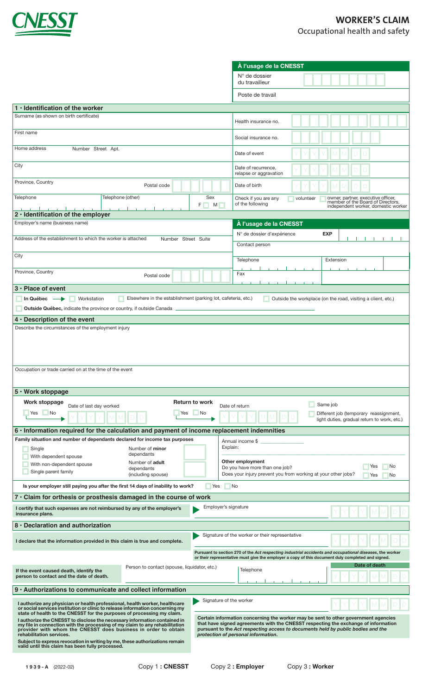

|                                                                                                                                                                                                                                                                                                                                                                                                                                                                                                                                                                                                                                                                                                  |               |                         | À l'usage de la CNESST                                                                                                                                                                                        |  |  |            |           |  |  |  |  |  |
|--------------------------------------------------------------------------------------------------------------------------------------------------------------------------------------------------------------------------------------------------------------------------------------------------------------------------------------------------------------------------------------------------------------------------------------------------------------------------------------------------------------------------------------------------------------------------------------------------------------------------------------------------------------------------------------------------|---------------|-------------------------|---------------------------------------------------------------------------------------------------------------------------------------------------------------------------------------------------------------|--|--|------------|-----------|--|--|--|--|--|
|                                                                                                                                                                                                                                                                                                                                                                                                                                                                                                                                                                                                                                                                                                  |               |                         | $N^{\circ}$ de dossier<br>du travailleur                                                                                                                                                                      |  |  |            |           |  |  |  |  |  |
|                                                                                                                                                                                                                                                                                                                                                                                                                                                                                                                                                                                                                                                                                                  |               |                         | Poste de travail                                                                                                                                                                                              |  |  |            |           |  |  |  |  |  |
| 1 $\cdot$ Identification of the worker                                                                                                                                                                                                                                                                                                                                                                                                                                                                                                                                                                                                                                                           |               |                         |                                                                                                                                                                                                               |  |  |            |           |  |  |  |  |  |
| Surname (as shown on birth certificate)                                                                                                                                                                                                                                                                                                                                                                                                                                                                                                                                                                                                                                                          |               |                         | Health insurance no.                                                                                                                                                                                          |  |  |            |           |  |  |  |  |  |
| First name                                                                                                                                                                                                                                                                                                                                                                                                                                                                                                                                                                                                                                                                                       |               |                         | Social insurance no.                                                                                                                                                                                          |  |  |            |           |  |  |  |  |  |
| Home address<br>Number Street Apt.                                                                                                                                                                                                                                                                                                                                                                                                                                                                                                                                                                                                                                                               |               |                         | Date of event                                                                                                                                                                                                 |  |  |            |           |  |  |  |  |  |
| City                                                                                                                                                                                                                                                                                                                                                                                                                                                                                                                                                                                                                                                                                             |               |                         | Date of recurrence,<br>relapse or aggravation                                                                                                                                                                 |  |  |            |           |  |  |  |  |  |
| Province, Country<br>Postal code                                                                                                                                                                                                                                                                                                                                                                                                                                                                                                                                                                                                                                                                 |               |                         | Date of birth                                                                                                                                                                                                 |  |  |            |           |  |  |  |  |  |
| Telephone<br>Telephone (other)                                                                                                                                                                                                                                                                                                                                                                                                                                                                                                                                                                                                                                                                   | Sex<br>F<br>M |                         | Check if you are any<br>owner, partner, executive officer,<br>member of the Board of Directors,<br>independent worker, domestic worker<br>volunteer<br>of the following                                       |  |  |            |           |  |  |  |  |  |
| 2 · Identification of the employer                                                                                                                                                                                                                                                                                                                                                                                                                                                                                                                                                                                                                                                               |               |                         |                                                                                                                                                                                                               |  |  |            |           |  |  |  |  |  |
| Employer's name (business name)<br>Address of the establishment to which the worker is attached<br>Number Street Suite                                                                                                                                                                                                                                                                                                                                                                                                                                                                                                                                                                           |               |                         | À l'usage de la CNESST<br>N° de dossier d'expérience                                                                                                                                                          |  |  | <b>EXP</b> |           |  |  |  |  |  |
|                                                                                                                                                                                                                                                                                                                                                                                                                                                                                                                                                                                                                                                                                                  |               |                         | Contact person                                                                                                                                                                                                |  |  |            |           |  |  |  |  |  |
| City                                                                                                                                                                                                                                                                                                                                                                                                                                                                                                                                                                                                                                                                                             |               |                         | Telephone                                                                                                                                                                                                     |  |  |            | Extension |  |  |  |  |  |
| Province, Country<br>Postal code                                                                                                                                                                                                                                                                                                                                                                                                                                                                                                                                                                                                                                                                 |               |                         | Fax                                                                                                                                                                                                           |  |  |            |           |  |  |  |  |  |
| $3 \cdot$ Place of event                                                                                                                                                                                                                                                                                                                                                                                                                                                                                                                                                                                                                                                                         |               |                         |                                                                                                                                                                                                               |  |  |            |           |  |  |  |  |  |
| Workstation<br>Elsewhere in the establishment (parking lot, cafeteria, etc.)<br>In Québec $\longrightarrow$<br><b>Outside Québec, indicate the province or country, if outside Canada</b>                                                                                                                                                                                                                                                                                                                                                                                                                                                                                                        |               |                         | Outside the workplace (on the road, visiting a client, etc.)                                                                                                                                                  |  |  |            |           |  |  |  |  |  |
| $4 \cdot$ Description of the event                                                                                                                                                                                                                                                                                                                                                                                                                                                                                                                                                                                                                                                               |               |                         |                                                                                                                                                                                                               |  |  |            |           |  |  |  |  |  |
| Occupation or trade carried on at the time of the event                                                                                                                                                                                                                                                                                                                                                                                                                                                                                                                                                                                                                                          |               |                         |                                                                                                                                                                                                               |  |  |            |           |  |  |  |  |  |
|                                                                                                                                                                                                                                                                                                                                                                                                                                                                                                                                                                                                                                                                                                  |               |                         |                                                                                                                                                                                                               |  |  |            |           |  |  |  |  |  |
| 5 · Work stoppage                                                                                                                                                                                                                                                                                                                                                                                                                                                                                                                                                                                                                                                                                |               |                         |                                                                                                                                                                                                               |  |  |            |           |  |  |  |  |  |
| <b>Return to work</b><br>Work stoppage<br>Same job<br>Date of last day worked<br>Date of return<br>Yes<br>No.<br>Yes<br>No<br>Different job (temporary reassignment,<br>light duties, gradual return to work, etc.)                                                                                                                                                                                                                                                                                                                                                                                                                                                                              |               |                         |                                                                                                                                                                                                               |  |  |            |           |  |  |  |  |  |
| 6 · Information required for the calculation and payment of income replacement indemnities                                                                                                                                                                                                                                                                                                                                                                                                                                                                                                                                                                                                       |               |                         |                                                                                                                                                                                                               |  |  |            |           |  |  |  |  |  |
| Family situation and number of dependants declared for income tax purposes                                                                                                                                                                                                                                                                                                                                                                                                                                                                                                                                                                                                                       |               |                         |                                                                                                                                                                                                               |  |  |            |           |  |  |  |  |  |
| Number of minor<br>Single                                                                                                                                                                                                                                                                                                                                                                                                                                                                                                                                                                                                                                                                        | Explain:      | Annual income \$        |                                                                                                                                                                                                               |  |  |            |           |  |  |  |  |  |
| dependants<br>With dependent spouse<br>Other employment<br>Number of adult<br>With non-dependent spouse<br>No<br>Yes<br>Do you have more than one job?<br>dependants<br>Single parent family<br>(including spouse)<br>Does your injury prevent you from working at your other jobs?<br>Yes<br>No                                                                                                                                                                                                                                                                                                                                                                                                 |               |                         |                                                                                                                                                                                                               |  |  |            |           |  |  |  |  |  |
| Is your employer still paying you after the first 14 days of inability to work?                                                                                                                                                                                                                                                                                                                                                                                                                                                                                                                                                                                                                  | Yes           | - No                    |                                                                                                                                                                                                               |  |  |            |           |  |  |  |  |  |
| 7 • Claim for orthesis or prosthesis damaged in the course of work                                                                                                                                                                                                                                                                                                                                                                                                                                                                                                                                                                                                                               |               |                         |                                                                                                                                                                                                               |  |  |            |           |  |  |  |  |  |
| I certify that such expenses are not reimbursed by any of the employer's<br>insurance plans.                                                                                                                                                                                                                                                                                                                                                                                                                                                                                                                                                                                                     |               | Employer's signature    |                                                                                                                                                                                                               |  |  |            |           |  |  |  |  |  |
| 8 · Declaration and authorization                                                                                                                                                                                                                                                                                                                                                                                                                                                                                                                                                                                                                                                                |               |                         |                                                                                                                                                                                                               |  |  |            |           |  |  |  |  |  |
| I declare that the information provided in this claim is true and complete.                                                                                                                                                                                                                                                                                                                                                                                                                                                                                                                                                                                                                      |               |                         | Signature of the worker or their representative                                                                                                                                                               |  |  |            |           |  |  |  |  |  |
|                                                                                                                                                                                                                                                                                                                                                                                                                                                                                                                                                                                                                                                                                                  |               |                         | Pursuant to section 270 of the Act respecting industrial accidents and occupational diseases, the worker<br>or their representative must give the employer a copy of this document duly completed and signed. |  |  |            |           |  |  |  |  |  |
| Person to contact (spouse, liquidator, etc.)<br>If the event caused death, identify the<br>person to contact and the date of death.                                                                                                                                                                                                                                                                                                                                                                                                                                                                                                                                                              |               |                         | Date of death<br>Telephone                                                                                                                                                                                    |  |  |            |           |  |  |  |  |  |
| 9 · Authorizations to communicate and collect information                                                                                                                                                                                                                                                                                                                                                                                                                                                                                                                                                                                                                                        |               |                         |                                                                                                                                                                                                               |  |  |            |           |  |  |  |  |  |
| I authorize any physician or health professional, health worker, healthcare<br>or social services institution or clinic to release information concerning my<br>state of health to the CNESST for the purposes of processing my claim.                                                                                                                                                                                                                                                                                                                                                                                                                                                           |               | Signature of the worker |                                                                                                                                                                                                               |  |  |            |           |  |  |  |  |  |
| Certain information concerning the worker may be sent to other government agencies<br>I authorize the CNESST to disclose the necessary information contained in<br>that have signed agreements with the CNESST respecting the exchange of information<br>my file in connection with the processing of my claim to any rehabilitation<br>pursuant to the Act respecting access to documents held by public bodies and the<br>provider with whom the CNESST does business in order to obtain<br>protection of personal information.<br>rehabilitation services.<br>Subject to express revocation in writing by me, these authorizations remain<br>valid until this claim has been fully processed. |               |                         |                                                                                                                                                                                                               |  |  |            |           |  |  |  |  |  |
|                                                                                                                                                                                                                                                                                                                                                                                                                                                                                                                                                                                                                                                                                                  |               |                         |                                                                                                                                                                                                               |  |  |            |           |  |  |  |  |  |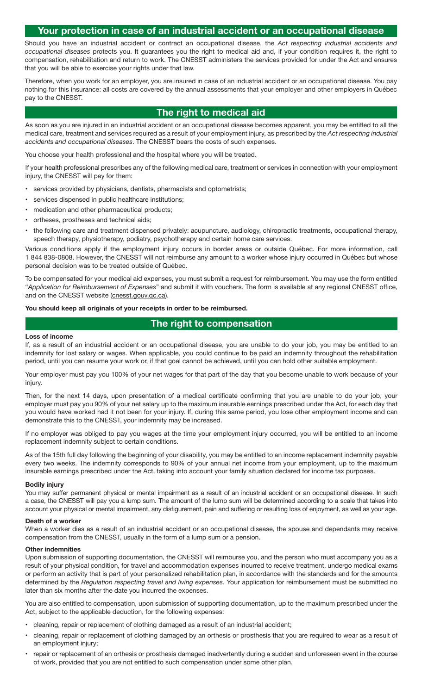# **Your protection in case of an industrial accident or an occupational disease**

Should you have an industrial accident or contract an occupational disease, the *Act respecting industrial accidents and occupational diseases* protects you. It guarantees you the right to medical aid and, if your condition requires it, the right to compensation, rehabilitation and return to work. The CNESST administers the services provided for under the Act and ensures that you will be able to exercise your rights under that law.

Therefore, when you work for an employer, you are insured in case of an industrial accident or an occupational disease. You pay nothing for this insurance: all costs are covered by the annual assessments that your employer and other employers in Québec pay to the CNESST.

## **The right to medical aid**

As soon as you are injured in an industrial accident or an occupational disease becomes apparent, you may be entitled to all the medical care, treatment and services required as a result of your employment injury, as prescribed by the *Act respecting industrial accidents and occupational diseases*. The CNESST bears the costs of such expenses.

You choose your health professional and the hospital where you will be treated.

If your health professional prescribes any of the following medical care, treatment or services in connection with your employment injury, the CNESST will pay for them:

- services provided by physicians, dentists, pharmacists and optometrists;
- services dispensed in public healthcare institutions:
- medication and other pharmaceutical products;
- ortheses, prostheses and technical aids;
- the following care and treatment dispensed privately: acupuncture, audiology, chiropractic treatments, occupational therapy, speech therapy, physiotherapy, podiatry, psychotherapy and certain home care services.

Various conditions apply if the employment injury occurs in border areas or outside Québec. For more information, call 1 844 838-0808. However, the CNESST will not reimburse any amount to a worker whose injury occurred in Québec but whose personal decision was to be treated outside of Québec.

To be compensated for your medical aid expenses, you must submit a request for reimbursement. You may use the form entitled "*Application for Reimbursement of Expenses*" and submit it with vouchers. The form is available at any regional CNESST office, and on the CNESST website (cnesst.gouv.qc.ca).

**You should keep all originals of your receipts in order to be reimbursed.**

## **The right to compensation**

#### **Loss of income**

If, as a result of an industrial accident or an occupational disease, you are unable to do your job, you may be entitled to an indemnity for lost salary or wages. When applicable, you could continue to be paid an indemnity throughout the rehabilitation period, until you can resume your work or, if that goal cannot be achieved, until you can hold other suitable employment.

Your employer must pay you 100% of your net wages for that part of the day that you become unable to work because of your injury.

Then, for the next 14 days, upon presentation of a medical certificate confirming that you are unable to do your job, your employer must pay you 90% of your net salary up to the maximum insurable earnings prescribed under the Act, for each day that you would have worked had it not been for your injury. If, during this same period, you lose other employment income and can demonstrate this to the CNESST, your indemnity may be increased.

If no employer was obliged to pay you wages at the time your employment injury occurred, you will be entitled to an income replacement indemnity subject to certain conditions.

As of the 15th full day following the beginning of your disability, you may be entitled to an income replacement indemnity payable every two weeks. The indemnity corresponds to 90% of your annual net income from your employment, up to the maximum insurable earnings prescribed under the Act, taking into account your family situation declared for income tax purposes.

#### **Bodily injury**

You may suffer permanent physical or mental impairment as a result of an industrial accident or an occupational disease. In such a case, the CNESST will pay you a lump sum. The amount of the lump sum will be determined according to a scale that takes into account your physical or mental impairment, any disfigurement, pain and suffering or resulting loss of enjoyment, as well as your age.

#### **Death of a worker**

When a worker dies as a result of an industrial accident or an occupational disease, the spouse and dependants may receive compensation from the CNESST, usually in the form of a lump sum or a pension.

#### **Other indemnities**

Upon submission of supporting documentation, the CNESST will reimburse you, and the person who must accompany you as a result of your physical condition, for travel and accommodation expenses incurred to receive treatment, undergo medical exams or perform an activity that is part of your personalized rehabilitation plan, in accordance with the standards and for the amounts determined by the *Regulation respecting travel and living expenses*. Your application for reimbursement must be submitted no later than six months after the date you incurred the expenses.

You are also entitled to compensation, upon submission of supporting documentation, up to the maximum prescribed under the Act, subject to the applicable deduction, for the following expenses:

- cleaning, repair or replacement of clothing damaged as a result of an industrial accident;
- cleaning, repair or replacement of clothing damaged by an orthesis or prosthesis that you are required to wear as a result of an employment injury;
- repair or replacement of an orthesis or prosthesis damaged inadvertently during a sudden and unforeseen event in the course of work, provided that you are not entitled to such compensation under some other plan.